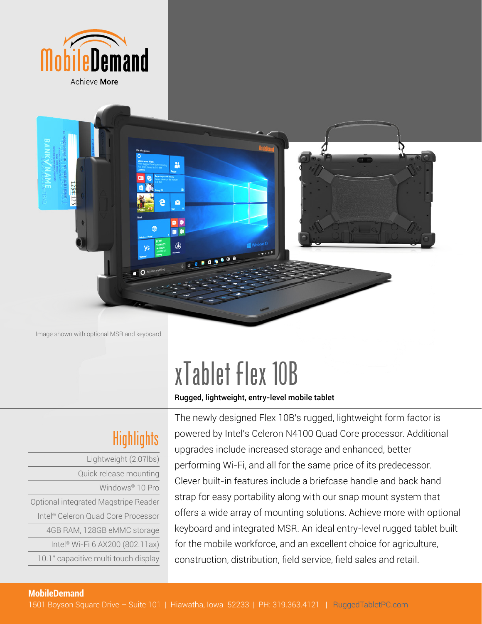



Image shown with optional MSR and keyboard

# xTablet Flex 10B

Rugged, lightweight, entry-level mobile tablet

## **Highlights**

| Lightweight (2.07lbs)                          |
|------------------------------------------------|
| Quick release mounting                         |
| Windows <sup>®</sup> 10 Pro                    |
| Optional integrated Magstripe Reader           |
| Intel <sup>®</sup> Celeron Quad Core Processor |
| 4GB RAM, 128GB eMMC storage                    |
| Intel <sup>®</sup> Wi-Fi 6 AX200 (802.11ax)    |
| 10.1" capacitive multi touch display           |
|                                                |

The newly designed Flex 10B's rugged, lightweight form factor is powered by Intel's Celeron N4100 Quad Core processor. Additional upgrades include increased storage and enhanced, better performing Wi-Fi, and all for the same price of its predecessor. Clever built-in features include a briefcase handle and back hand strap for easy portability along with our snap mount system that offers a wide array of mounting solutions. Achieve more with optional keyboard and integrated MSR. An ideal entry-level rugged tablet built for the mobile workforce, and an excellent choice for agriculture, construction, distribution, field service, field sales and retail.

### **MobileDemand**